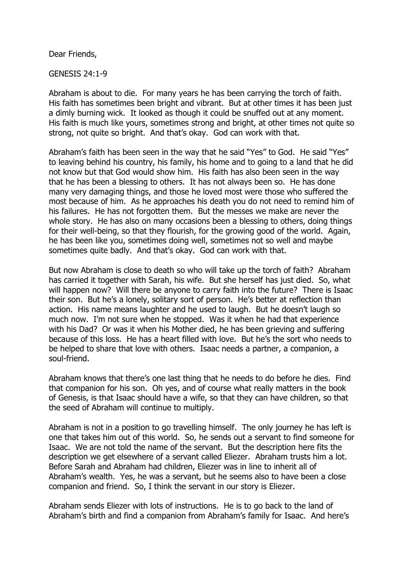Dear Friends,

GENESIS 24:1-9

Abraham is about to die. For many years he has been carrying the torch of faith. His faith has sometimes been bright and vibrant. But at other times it has been just a dimly burning wick. It looked as though it could be snuffed out at any moment. His faith is much like yours, sometimes strong and bright, at other times not quite so strong, not quite so bright. And that's okay. God can work with that.

Abraham's faith has been seen in the way that he said "Yes" to God. He said "Yes" to leaving behind his country, his family, his home and to going to a land that he did not know but that God would show him. His faith has also been seen in the way that he has been a blessing to others. It has not always been so. He has done many very damaging things, and those he loved most were those who suffered the most because of him. As he approaches his death you do not need to remind him of his failures. He has not forgotten them. But the messes we make are never the whole story. He has also on many occasions been a blessing to others, doing things for their well-being, so that they flourish, for the growing good of the world. Again, he has been like you, sometimes doing well, sometimes not so well and maybe sometimes quite badly. And that's okay. God can work with that.

But now Abraham is close to death so who will take up the torch of faith? Abraham has carried it together with Sarah, his wife. But she herself has just died. So, what will happen now? Will there be anyone to carry faith into the future? There is Isaac their son. But he's a lonely, solitary sort of person. He's better at reflection than action. His name means laughter and he used to laugh. But he doesn't laugh so much now. I'm not sure when he stopped. Was it when he had that experience with his Dad? Or was it when his Mother died, he has been grieving and suffering because of this loss. He has a heart filled with love. But he's the sort who needs to be helped to share that love with others. Isaac needs a partner, a companion, a soul-friend.

Abraham knows that there's one last thing that he needs to do before he dies. Find that companion for his son. Oh yes, and of course what really matters in the book of Genesis, is that Isaac should have a wife, so that they can have children, so that the seed of Abraham will continue to multiply.

Abraham is not in a position to go travelling himself. The only journey he has left is one that takes him out of this world. So, he sends out a servant to find someone for Isaac. We are not told the name of the servant. But the description here fits the description we get elsewhere of a servant called Eliezer. Abraham trusts him a lot. Before Sarah and Abraham had children, Eliezer was in line to inherit all of Abraham's wealth. Yes, he was a servant, but he seems also to have been a close companion and friend. So, I think the servant in our story is Eliezer.

Abraham sends Eliezer with lots of instructions. He is to go back to the land of Abraham's birth and find a companion from Abraham's family for Isaac. And here's